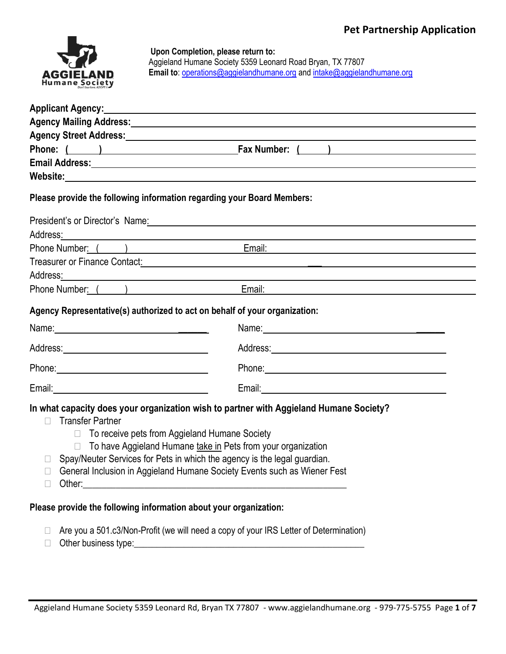

### **Upon Completion, please return to:**

Aggieland Humane Society 5359 Leonard Road Bryan, TX 77807 **Email to**: [operations@aggielandhumane.org](mailto:operations@aggielandhumane.org) an[d intake@aggielandhumane.org](mailto:intake@aggielandhumane.org)

|                                                                                                                                                                                                                               | Applicant Agency: <u>Applicant Agency</u> and the contract of the contract of the contract of the contract of the contract of the contract of the contract of the contract of the contract of the contract of the contract of the c    |  |
|-------------------------------------------------------------------------------------------------------------------------------------------------------------------------------------------------------------------------------|----------------------------------------------------------------------------------------------------------------------------------------------------------------------------------------------------------------------------------------|--|
|                                                                                                                                                                                                                               | Agency Mailing Address: Agency Mailing Address:                                                                                                                                                                                        |  |
|                                                                                                                                                                                                                               |                                                                                                                                                                                                                                        |  |
|                                                                                                                                                                                                                               | Phone: ( ) Fax Number: ( )                                                                                                                                                                                                             |  |
|                                                                                                                                                                                                                               |                                                                                                                                                                                                                                        |  |
|                                                                                                                                                                                                                               |                                                                                                                                                                                                                                        |  |
| Please provide the following information regarding your Board Members:                                                                                                                                                        |                                                                                                                                                                                                                                        |  |
|                                                                                                                                                                                                                               | President's or Director's Name.<br><u>Discrete and the contract of the contract of the contract of the contract of the contract of the contract of the contract of the contract of the contract of the contract of the contract of</u> |  |
|                                                                                                                                                                                                                               | Address <u>:</u> Address:                                                                                                                                                                                                              |  |
|                                                                                                                                                                                                                               | Phone Number: ( ) Email: Email: Email: Email: Email: Email: Email: Email: Email: Email: Email: Email: Email: Email: Email: Email: Email: Email: Email: Email: Email: Email: Email: Email: Email: Email: Email: Email: Email: E         |  |
|                                                                                                                                                                                                                               | Treasurer or Finance Contact: <b>All any Content of Contact Control Control Control Control Control Control Control Control Control Control Control Control Control Control Control Control Control Control Control Control Cont</b>   |  |
|                                                                                                                                                                                                                               | Address <u>:</u> Address: Address: Address: Address: Address: Address: Address: Address: Address: Address: Address: Address: Address: Address: Address: Address: Address: Address: Address: Address: Address: Address: Address: Addr   |  |
|                                                                                                                                                                                                                               | Phone Number: ( ) Email: Email: Email: Email: Email: Email: Email: Email: Email: Email: Email: Email: Email: Email: Email: Email: Email: Email: Email: Email: Email: Email: Email: Email: Email: Email: Email: Email: Email: E         |  |
| Agency Representative(s) authorized to act on behalf of your organization:                                                                                                                                                    |                                                                                                                                                                                                                                        |  |
|                                                                                                                                                                                                                               |                                                                                                                                                                                                                                        |  |
|                                                                                                                                                                                                                               |                                                                                                                                                                                                                                        |  |
| Phone: 2008 2010 2010 2010 2010 2010 2010 2011 2021 2022 2023 2024 2022 2023 2024 2022 2023 2024 2025 2026 2027 2028 2029 2020 2021 2022 2023 2024 2025 2026 2027 2028 2029 2021 2022 2023 2024 2022 2023 2024 2025 2027 2028 | Phone: Note: Note: Note: Note: Note: Note: Note: Note: Note: Note: Note: Note: Note: Note: Note: Note: Note: Note: Note: Note: Note: Note: Note: Note: Note: Note: Note: Note: Note: Note: Note: Note: Note: Note: Note: Note:         |  |
|                                                                                                                                                                                                                               |                                                                                                                                                                                                                                        |  |
| <b>Transfer Partner</b><br>П<br>To receive pets from Aggieland Humane Society<br>П.                                                                                                                                           | In what capacity does your organization wish to partner with Aggieland Humane Society?                                                                                                                                                 |  |
| П                                                                                                                                                                                                                             | To have Aggieland Humane take in Pets from your organization<br>Spay/Neuter Services for Pets in which the agency is the legal guardian.                                                                                               |  |
| $\Box$                                                                                                                                                                                                                        | General Inclusion in Aggieland Humane Society Events such as Wiener Fest                                                                                                                                                               |  |

 $\Box$  Other:

# **Please provide the following information about your organization:**

- $\Box$  Are you a 501.c3/Non-Profit (we will need a copy of your IRS Letter of Determination)
- Other business type:\_\_\_\_\_\_\_\_\_\_\_\_\_\_\_\_\_\_\_\_\_\_\_\_\_\_\_\_\_\_\_\_\_\_\_\_\_\_\_\_\_\_\_\_\_\_\_\_\_\_\_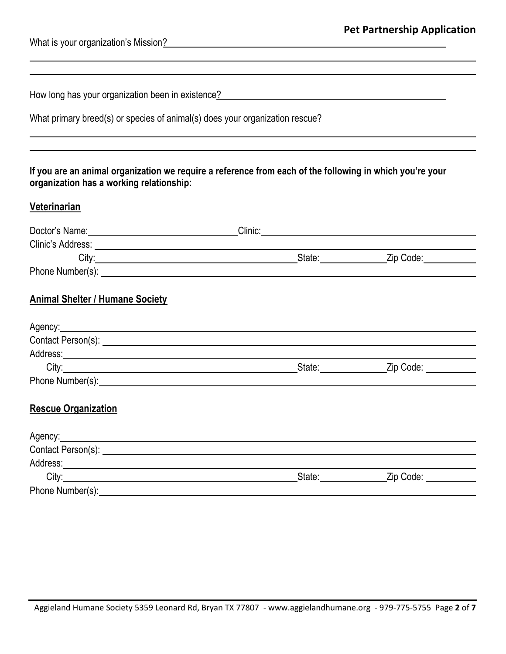l

l ı

|  | How long has your organization been in existence? |  |
|--|---------------------------------------------------|--|
|  |                                                   |  |

| What primary breed(s) or species of animal(s) does your organization rescue? |  |  |  |  |
|------------------------------------------------------------------------------|--|--|--|--|
|------------------------------------------------------------------------------|--|--|--|--|

# **If you are an animal organization we require a reference from each of the following in which you're your organization has a working relationship:**

# **Veterinarian**

| Doctor's Name:<br><u>Doctor's Name:</u>                                                                                                                                                                                              | Clinic:                 | <u> 1989 - Jan Samuel Barbara, margaret e populazion del control del control del control del control de la control</u> |
|--------------------------------------------------------------------------------------------------------------------------------------------------------------------------------------------------------------------------------------|-------------------------|------------------------------------------------------------------------------------------------------------------------|
| Clinic's Address: <u>Cambridge Communication</u>                                                                                                                                                                                     |                         |                                                                                                                        |
|                                                                                                                                                                                                                                      |                         | Zip Code: <u>______________</u>                                                                                        |
|                                                                                                                                                                                                                                      |                         |                                                                                                                        |
| <b>Animal Shelter / Humane Society</b>                                                                                                                                                                                               |                         |                                                                                                                        |
| Agency: Agency:                                                                                                                                                                                                                      |                         |                                                                                                                        |
|                                                                                                                                                                                                                                      |                         |                                                                                                                        |
|                                                                                                                                                                                                                                      |                         |                                                                                                                        |
|                                                                                                                                                                                                                                      | _State:________________ | Zip Code: ___________                                                                                                  |
| Phone Number(s): <u>example and the set of the set of the set of the set of the set of the set of the set of the set of the set of the set of the set of the set of the set of the set of the set of the set of the set of the s</u> |                         |                                                                                                                        |
| <b>Rescue Organization</b>                                                                                                                                                                                                           |                         |                                                                                                                        |
| Agency: Agency:                                                                                                                                                                                                                      |                         |                                                                                                                        |
|                                                                                                                                                                                                                                      |                         |                                                                                                                        |
|                                                                                                                                                                                                                                      |                         |                                                                                                                        |
|                                                                                                                                                                                                                                      | State: State:           | _Zip Code: ___________                                                                                                 |
|                                                                                                                                                                                                                                      |                         |                                                                                                                        |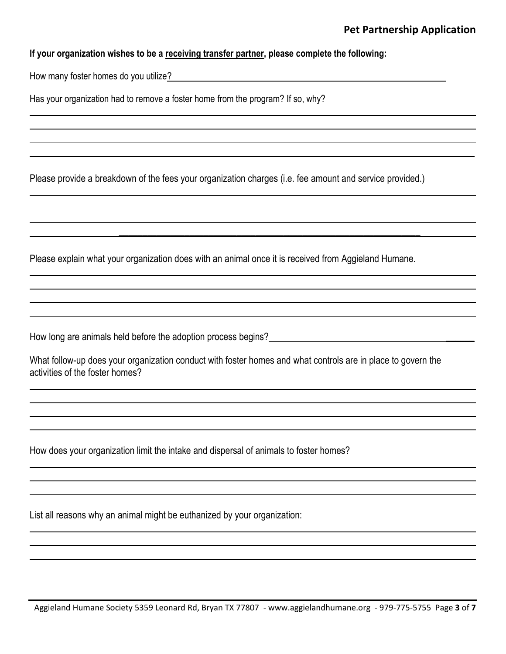ı

ı

ı

ı

 $\_$  ,  $\_$  ,  $\_$  ,  $\_$  ,  $\_$  ,  $\_$  ,  $\_$  ,  $\_$  ,  $\_$  ,  $\_$  ,  $\_$  ,  $\_$  ,  $\_$  ,  $\_$  ,  $\_$  ,  $\_$  ,  $\_$  ,  $\_$  ,  $\_$  ,  $\_$ 

ı

ı

ı

### **If your organization wishes to be a receiving transfer partner, please complete the following:**

How many foster homes do you utilize?

Has your organization had to remove a foster home from the program? If so, why?

Please provide a breakdown of the fees your organization charges (i.e. fee amount and service provided.)

Please explain what your organization does with an animal once it is received from Aggieland Humane.

How long are animals held before the adoption process begins? \_\_\_\_\_\_\_\_\_\_\_\_\_\_\_\_\_\_

ı

ı

What follow-up does your organization conduct with foster homes and what controls are in place to govern the activities of the foster homes?

How does your organization limit the intake and dispersal of animals to foster homes?

List all reasons why an animal might be euthanized by your organization:

ı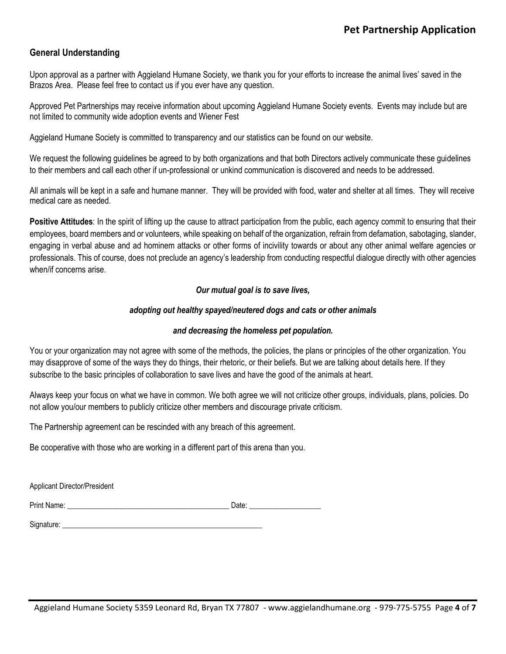## **General Understanding**

Upon approval as a partner with Aggieland Humane Society, we thank you for your efforts to increase the animal lives' saved in the Brazos Area. Please feel free to contact us if you ever have any question.

Approved Pet Partnerships may receive information about upcoming Aggieland Humane Society events. Events may include but are not limited to community wide adoption events and Wiener Fest

Aggieland Humane Society is committed to transparency and our statistics can be found on our website.

We request the following guidelines be agreed to by both organizations and that both Directors actively communicate these guidelines to their members and call each other if un-professional or unkind communication is discovered and needs to be addressed.

All animals will be kept in a safe and humane manner. They will be provided with food, water and shelter at all times. They will receive medical care as needed.

**Positive Attitudes**: In the spirit of lifting up the cause to attract participation from the public, each agency commit to ensuring that their employees, board members and or volunteers, while speaking on behalf of the organization, refrain from defamation, sabotaging, slander, engaging in verbal abuse and ad hominem attacks or other forms of incivility towards or about any other animal welfare agencies or professionals. This of course, does not preclude an agency's leadership from conducting respectful dialogue directly with other agencies when/if concerns arise.

#### *Our mutual goal is to save lives,*

#### *adopting out healthy spayed/neutered dogs and cats or other animals*

#### *and decreasing the homeless pet population.*

You or your organization may not agree with some of the methods, the policies, the plans or principles of the other organization. You may disapprove of some of the ways they do things, their rhetoric, or their beliefs. But we are talking about details here. If they subscribe to the basic principles of collaboration to save lives and have the good of the animals at heart.

Always keep your focus on what we have in common. We both agree we will not criticize other groups, individuals, plans, policies. Do not allow you/our members to publicly criticize other members and discourage private criticism.

The Partnership agreement can be rescinded with any breach of this agreement.

Be cooperative with those who are working in a different part of this arena than you.

Applicant Director/President

Print Name: \_\_\_\_\_\_\_\_\_\_\_\_\_\_\_\_\_\_\_\_\_\_\_\_\_\_\_\_\_\_\_\_\_\_\_\_\_\_\_\_\_\_\_ Date: \_\_\_\_\_\_\_\_\_\_\_\_\_\_\_\_\_\_\_

Signature: \_\_\_\_\_\_\_\_\_\_\_\_\_\_\_\_\_\_\_\_\_\_\_\_\_\_\_\_\_\_\_\_\_\_\_\_\_\_\_\_\_\_\_\_\_\_\_\_\_\_\_\_\_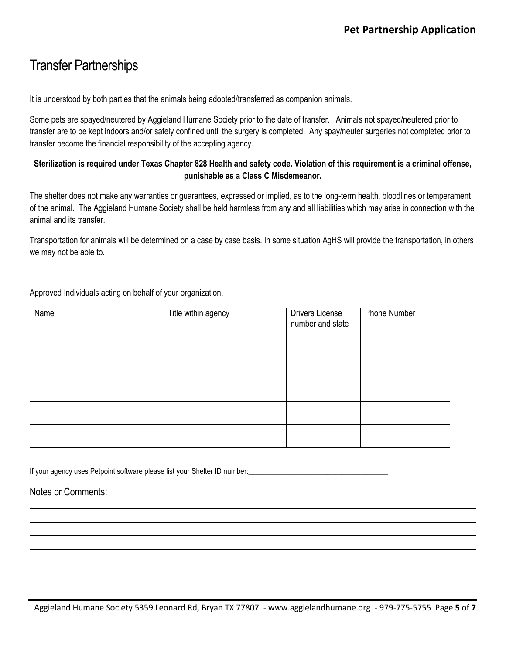# Transfer Partnerships

It is understood by both parties that the animals being adopted/transferred as companion animals.

Some pets are spayed/neutered by Aggieland Humane Society prior to the date of transfer. Animals not spayed/neutered prior to transfer are to be kept indoors and/or safely confined until the surgery is completed. Any spay/neuter surgeries not completed prior to transfer become the financial responsibility of the accepting agency.

## **Sterilization is required under Texas Chapter 828 Health and safety code. Violation of this requirement is a criminal offense, punishable as a Class C Misdemeanor.**

The shelter does not make any warranties or guarantees, expressed or implied, as to the long-term health, bloodlines or temperament of the animal. The Aggieland Humane Society shall be held harmless from any and all liabilities which may arise in connection with the animal and its transfer.

Transportation for animals will be determined on a case by case basis. In some situation AgHS will provide the transportation, in others we may not be able to.

Approved Individuals acting on behalf of your organization.

| Name | Title within agency | <b>Drivers License</b><br>number and state | Phone Number |
|------|---------------------|--------------------------------------------|--------------|
|      |                     |                                            |              |
|      |                     |                                            |              |
|      |                     |                                            |              |
|      |                     |                                            |              |
|      |                     |                                            |              |

If your agency uses Petpoint software please list your Shelter ID number:

ı

Notes or Comments:

ı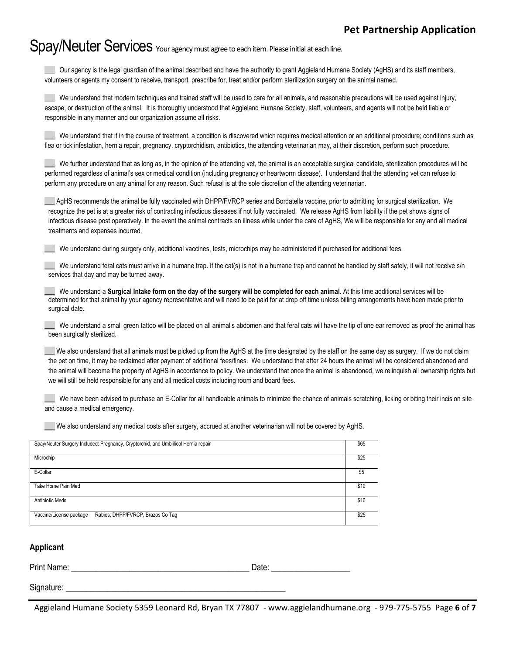# Spay/Neuter Services Your agency must agree to each item. Please initial at each line.

\_\_\_ Our agency is the legal guardian of the animal described and have the authority to grant Aggieland Humane Society (AgHS) and its staff members, volunteers or agents my consent to receive, transport, prescribe for, treat and/or perform sterilization surgery on the animal named.

We understand that modern techniques and trained staff will be used to care for all animals, and reasonable precautions will be used against injury, escape, or destruction of the animal. It is thoroughly understood that Aggieland Humane Society, staff, volunteers, and agents will not be held liable or responsible in any manner and our organization assume all risks.

We understand that if in the course of treatment, a condition is discovered which requires medical attention or an additional procedure; conditions such as flea or tick infestation, hernia repair, pregnancy, cryptorchidism, antibiotics, the attending veterinarian may, at their discretion, perform such procedure.

We further understand that as long as, in the opinion of the attending vet, the animal is an acceptable surgical candidate, sterilization procedures will be performed regardless of animal's sex or medical condition (including pregnancy or heartworm disease). I understand that the attending vet can refuse to perform any procedure on any animal for any reason. Such refusal is at the sole discretion of the attending veterinarian.

\_\_\_ AgHS recommends the animal be fully vaccinated with DHPP/FVRCP series and Bordatella vaccine, prior to admitting for surgical sterilization. We recognize the pet is at a greater risk of contracting infectious diseases if not fully vaccinated. We release AgHS from liability if the pet shows signs of infectious disease post operatively. In the event the animal contracts an illness while under the care of AgHS, We will be responsible for any and all medical treatments and expenses incurred.

We understand during surgery only, additional vaccines, tests, microchips may be administered if purchased for additional fees.

We understand feral cats must arrive in a humane trap. If the cat(s) is not in a humane trap and cannot be handled by staff safely, it will not receive s/n services that day and may be turned away.

We understand a **Surgical Intake form on the day of the surgery will be completed for each animal**. At this time additional services will be determined for that animal by your agency representative and will need to be paid for at drop off time unless billing arrangements have been made prior to surgical date.

We understand a small green tattoo will be placed on all animal's abdomen and that feral cats will have the tip of one ear removed as proof the animal has been surgically sterilized.

We also understand that all animals must be picked up from the AgHS at the time designated by the staff on the same day as surgery. If we do not claim the pet on time, it may be reclaimed after payment of additional fees/fines. We understand that after 24 hours the animal will be considered abandoned and the animal will become the property of AgHS in accordance to policy. We understand that once the animal is abandoned, we relinquish all ownership rights but we will still be held responsible for any and all medical costs including room and board fees.

We have been advised to purchase an E-Collar for all handleable animals to minimize the chance of animals scratching, licking or biting their incision site and cause a medical emergency.

\_\_\_ We also understand any medical costs after surgery, accrued at another veterinarian will not be covered by AgHS.

| Spay/Neuter Surgery Included: Pregnancy, Cryptorchid, and Umblilical Hernia repair | \$65 |
|------------------------------------------------------------------------------------|------|
| Microchip                                                                          | \$25 |
| E-Collar                                                                           | \$5  |
| Take Home Pain Med                                                                 | \$10 |
| <b>Antibiotic Meds</b>                                                             | \$10 |
| Rabies, DHPP/FVRCP, Brazos Co Taq<br>Vaccine/License package                       | \$25 |

#### **Applicant**

Print Name: <u>Date:</u> **Example 20** 

Signature:

Aggieland Humane Society 5359 Leonard Rd, Bryan TX 77807 - www.aggielandhumane.org - 979-775-5755 Page **6** of **7**